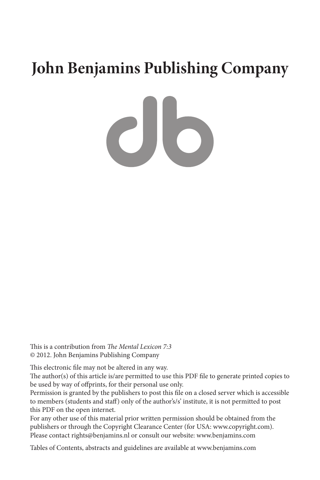# **John Benjamins Publishing Company**

 $\overline{c}$  to

This is a contribution from *The Mental Lexicon 7:3* © 2012. John Benjamins Publishing Company

This electronic file may not be altered in any way.

The author(s) of this article is/are permitted to use this PDF file to generate printed copies to be used by way of offprints, for their personal use only.

Permission is granted by the publishers to post this file on a closed server which is accessible to members (students and staff) only of the author's/s' institute, it is not permitted to post this PDF on the open internet.

For any other use of this material prior written permission should be obtained from the publishers or through the Copyright Clearance Center (for USA: www.copyright.com). Please contact rights@benjamins.nl or consult our website: www.benjamins.com

Tables of Contents, abstracts and guidelines are available at www.benjamins.com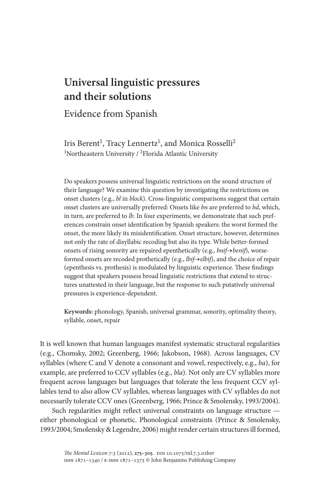# **Universal linguistic pressures and their solutions**

Evidence from Spanish

Iris Berent<sup>1</sup>, Tracy Lennertz<sup>1</sup>, and Monica Rosselli<sup>2</sup> <sup>1</sup>Northeastern University / <sup>2</sup>Florida Atlantic University

Do speakers possess universal linguistic restrictions on the sound structure of their language? We examine this question by investigating the restrictions on onset clusters (e.g., *bl* in *block*). Cross-linguistic comparisons suggest that certain onset clusters are universally preferred: Onsets like *bn* are preferred to *bd*, which, in turn, are preferred to *lb*. In four experiments, we demonstrate that such preferences constrain onset identification by Spanish speakers: the worst formed the onset, the more likely its misidentification. Onset structure, however, determines not only the rate of disyllabic recoding but also its type. While better-formed onsets of rising sonority are repaired epenthetically (e.g., *bnif*→*benif*), worseformed onsets are recoded prothetically (e.g., *lbif*→*elbif*), and the choice of repair (epenthesis vs. prothesis) is modulated by linguistic experience. These findings suggest that speakers possess broad linguistic restrictions that extend to structures unattested in their language, but the response to such putatively universal pressures is experience-dependent.

**Keywords:** phonology, Spanish, universal grammar, sonority, optimality theory, syllable, onset, repair

It is well known that human languages manifest systematic structural regularities (e.g., Chomsky, 2002; Greenberg, 1966; Jakobson, 1968). Across languages, CV syllables (where C and V denote a consonant and vowel, respectively, e.g., *ba*), for example, are preferred to CCV syllables (e.g., *bla*). Not only are CV syllables more frequent across languages but languages that tolerate the less frequent CCV syllables tend to also allow CV syllables, whereas languages with CV syllables do not necessarily tolerate CCV ones (Greenberg, 1966; Prince & Smolensky, 1993/2004).

Such regularities might reflect universal constraints on language structure either phonological or phonetic. Phonological constraints (Prince & Smolensky, 1993/2004; Smolensky & Legendre, 2006) might render certain structures ill formed,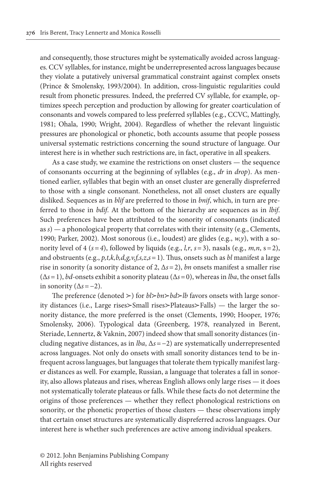and consequently, those structures might be systematically avoided across languages. CCV syllables, for instance, might be underrepresented across languages because they violate a putatively universal grammatical constraint against complex onsets (Prince & Smolensky, 1993/2004). In addition, cross-linguistic regularities could result from phonetic pressures. Indeed, the preferred CV syllable, for example, optimizes speech perception and production by allowing for greater coarticulation of consonants and vowels compared to less preferred syllables (e.g., CCVC, Mattingly, 1981; Ohala, 1990; Wright, 2004). Regardless of whether the relevant linguistic pressures are phonological or phonetic, both accounts assume that people possess universal systematic restrictions concerning the sound structure of language. Our interest here is in whether such restrictions are, in fact, operative in all speakers.

As a case study, we examine the restrictions on onset clusters — the sequence of consonants occurring at the beginning of syllables (e.g., *dr* in *drop*). As mentioned earlier, syllables that begin with an onset cluster are generally dispreferred to those with a single consonant. Nonetheless, not all onset clusters are equally disliked. Sequences as in *blif* are preferred to those in *bnif*, which, in turn are preferred to those in *bdif*. At the bottom of the hierarchy are sequences as in *lbif*. Such preferences have been attributed to the sonority of consonants (indicated as *s*) — a phonological property that correlates with their intensity (e.g., Clements, 1990; Parker, 2002). Most sonorous (i.e., loudest) are glides (e.g., *w,y*), with a sonority level of 4 ( $s=4$ ), followed by liquids (e.g.,  $l, r, s=3$ ), nasals (e.g.,  $m, n, s=2$ ), and obstruents (e.g., *p,t,k,b,d,g,v,f,s,z*,*s*=1). Thus, onsets such as *bl* manifest a large rise in sonority (a sonority distance of 2, ∆*s*=2), *bn* onsets manifest a smaller rise (∆*s*=1), *bd*-onsets exhibit a sonority plateau (∆*s*=0), whereas in *lba*, the onset falls in sonority  $(∆s=-2)$ .

The preference (denoted ≻) for *bl*≻*bn*≻*bd*≻*lb* favors onsets with large sonority distances (i.e., Large rises≻Small rises≻Plateaus≻Falls) — the larger the sonority distance, the more preferred is the onset (Clements, 1990; Hooper, 1976; Smolensky, 2006). Typological data (Greenberg, 1978, reanalyzed in Berent, Steriade, Lennertz, & Vaknin, 2007) indeed show that small sonority distances (including negative distances, as in *lba*, ∆*s*=−2) are systematically underrepresented across languages. Not only do onsets with small sonority distances tend to be infrequent across languages, but languages that tolerate them typically manifest larger distances as well. For example, Russian, a language that tolerates a fall in sonority, also allows plateaus and rises, whereas English allows only large rises — it does not systematically tolerate plateaus or falls. While these facts do not determine the origins of those preferences — whether they reflect phonological restrictions on sonority, or the phonetic properties of those clusters — these observations imply that certain onset structures are systematically dispreferred across languages. Our interest here is whether such preferences are active among individual speakers.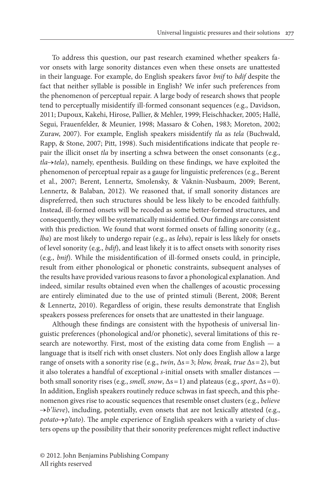To address this question, our past research examined whether speakers favor onsets with large sonority distances even when these onsets are unattested in their language. For example, do English speakers favor *bnif* to *bdif* despite the fact that neither syllable is possible in English? We infer such preferences from the phenomenon of perceptual repair. A large body of research shows that people tend to perceptually misidentify ill-formed consonant sequences (e.g., Davidson, 2011; Dupoux, Kakehi, Hirose, Pallier, & Mehler, 1999; Fleischhacker, 2005; Hallé, Segui, Frauenfelder, & Meunier, 1998; Massaro & Cohen, 1983; Moreton, 2002; Zuraw, 2007). For example, English speakers misidentify *tla* as *tela* (Buchwald, Rapp, & Stone, 2007; Pitt, 1998). Such misidentifications indicate that people repair the illicit onset *tla* by inserting a schwa between the onset consonants (e.g., *tla*→*tela*), namely, epenthesis. Building on these findings, we have exploited the phenomenon of perceptual repair as a gauge for linguistic preferences (e.g., Berent et al., 2007; Berent, Lennertz, Smolensky, & Vaknin-Nusbaum, 2009; Berent, Lennertz, & Balaban, 2012). We reasoned that, if small sonority distances are dispreferred, then such structures should be less likely to be encoded faithfully. Instead, ill-formed onsets will be recoded as some better-formed structures, and consequently, they will be systematically misidentified. Our findings are consistent with this prediction. We found that worst formed onsets of falling sonority (e.g., *lba*) are most likely to undergo repair (e.g., as *leba*), repair is less likely for onsets of level sonority (e.g., *bdif*), and least likely it is to affect onsets with sonority rises (e.g., *bnif*). While the misidentification of ill-formed onsets could, in principle, result from either phonological or phonetic constraints, subsequent analyses of the results have provided various reasons to favor a phonological explanation. And indeed, similar results obtained even when the challenges of acoustic processing are entirely eliminated due to the use of printed stimuli (Berent, 2008; Berent & Lennertz, 2010). Regardless of origin, these results demonstrate that English speakers possess preferences for onsets that are unattested in their language.

Although these findings are consistent with the hypothesis of universal linguistic preferences (phonological and/or phonetic), several limitations of this research are noteworthy. First, most of the existing data come from English — a language that is itself rich with onset clusters. Not only does English allow a large range of onsets with a sonority rise (e.g., *twin*, ∆s=3; *blow, break, true* ∆s=2), but it also tolerates a handful of exceptional *s-*initial onsets with smaller distances both small sonority rises (e.g., *smell, snow*, ∆s=1) and plateaus (e.g., *sport*, ∆s=0). In addition, English speakers routinely reduce schwas in fast speech, and this phenomenon gives rise to acoustic sequences that resemble onset clusters (e.g., *believe* →*b'lieve*), including, potentially, even onsets that are not lexically attested (e.g., *potato*→*p'tato*). The ample experience of English speakers with a variety of clusters opens up the possibility that their sonority preferences might reflect inductive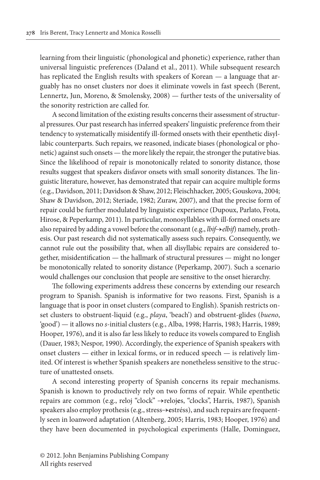learning from their linguistic (phonological and phonetic) experience, rather than universal linguistic preferences (Daland et al., 2011). While subsequent research has replicated the English results with speakers of Korean — a language that arguably has no onset clusters nor does it eliminate vowels in fast speech (Berent, Lennertz, Jun, Moreno, & Smolensky, 2008) — further tests of the universality of the sonority restriction are called for.

A second limitation of the existing results concerns their assessment of structural pressures. Our past research has inferred speakers' linguistic preference from their tendency to systematically misidentify ill-formed onsets with their epenthetic disyllabic counterparts. Such repairs, we reasoned, indicate biases (phonological or phonetic) against such onsets — the more likely the repair, the stronger the putative bias. Since the likelihood of repair is monotonically related to sonority distance, those results suggest that speakers disfavor onsets with small sonority distances. The linguistic literature, however, has demonstrated that repair can acquire multiple forms (e.g., Davidson, 2011; Davidson & Shaw, 2012; Fleischhacker, 2005; Gouskova, 2004; Shaw & Davidson, 2012; Steriade, 1982; Zuraw, 2007), and that the precise form of repair could be further modulated by linguistic experience (Dupoux, Parlato, Frota, Hirose, & Peperkamp, 2011). In particular, monosyllables with ill-formed onsets are also repaired by adding a vowel before the consonant (e.g., *lbif*→*elbif*) namely, prothesis. Our past research did not systematically assess such repairs. Consequently, we cannot rule out the possibility that, when all disyllabic repairs are considered together, misidentification — the hallmark of structural pressures — might no longer be monotonically related to sonority distance (Peperkamp, 2007). Such a scenario would challenges our conclusion that people are sensitive to the onset hierarchy.

The following experiments address these concerns by extending our research program to Spanish. Spanish is informative for two reasons. First, Spanish is a language that is poor in onset clusters (compared to English). Spanish restricts onset clusters to obstruent-liquid (e.g., *playa*, 'beach') and obstruent-glides (*bueno*, 'good') — it allows no *s-*initial clusters (e.g., Alba, 1998; Harris, 1983; Harris, 1989; Hooper, 1976), and it is also far less likely to reduce its vowels compared to English (Dauer, 1983; Nespor, 1990). Accordingly, the experience of Spanish speakers with onset clusters — either in lexical forms, or in reduced speech — is relatively limited. Of interest is whether Spanish speakers are nonetheless sensitive to the structure of unattested onsets.

A second interesting property of Spanish concerns its repair mechanisms. Spanish is known to productively rely on two forms of repair. While epenthetic repairs are common (e.g., reloj "clock" →reloj**e**s, "clocks", Harris, 1987), Spanish speakers also employ prothesis (e.g., stress→**e**stréss), and such repairs are frequently seen in loanword adaptation (Altenberg, 2005; Harris, 1983; Hooper, 1976) and they have been documented in psychological experiments (Halle, Dominguez,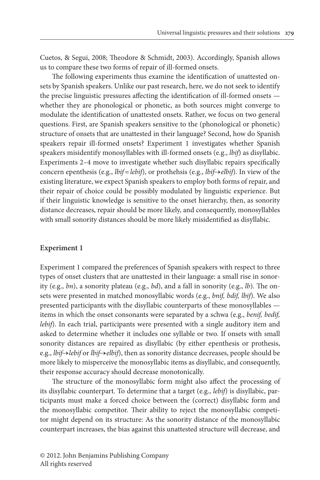Cuetos, & Segui, 2008; Theodore & Schmidt, 2003). Accordingly, Spanish allows us to compare these two forms of repair of ill-formed onsets.

The following experiments thus examine the identification of unattested onsets by Spanish speakers. Unlike our past research, here, we do not seek to identify the precise linguistic pressures affecting the identification of ill-formed onsets whether they are phonological or phonetic, as both sources might converge to modulate the identification of unattested onsets. Rather, we focus on two general questions. First, are Spanish speakers sensitive to the (phonological or phonetic) structure of onsets that are unattested in their language? Second, how do Spanish speakers repair ill-formed onsets? Experiment 1 investigates whether Spanish speakers misidentify monosyllables with ill-formed onsets (e.g., *lbif*) as disyllabic. Experiments 2–4 move to investigate whether such disyllabic repairs specifically concern epenthesis (e.g., *lbif=lebif*), or prothehsis (e.g., *lbif*→*elbif*). In view of the existing literature, we expect Spanish speakers to employ both forms of repair, and their repair of choice could be possibly modulated by linguistic experience. But if their linguistic knowledge is sensitive to the onset hierarchy, then, as sonority distance decreases, repair should be more likely, and consequently, monosyllables with small sonority distances should be more likely misidentified as disyllabic.

#### **Experiment 1**

Experiment 1 compared the preferences of Spanish speakers with respect to three types of onset clusters that are unattested in their language: a small rise in sonority (e.g., *bn*), a sonority plateau (e.g., *bd*), and a fall in sonority (e.g., *lb*). The onsets were presented in matched monosyllabic words (e.g., *bnif, bdif, lbif*). We also presented participants with the disyllabic counterparts of these monosyllables items in which the onset consonants were separated by a schwa (e.g., *benif, bedif, lebif*). In each trial, participants were presented with a single auditory item and asked to determine whether it includes one syllable or two. If onsets with small sonority distances are repaired as disyllabic (by either epenthesis or prothesis, e.g., *lbif*→*lebif* or *lbif*→*elbif*), then as sonority distance decreases, people should be more likely to misperceive the monosyllabic items as disyllabic, and consequently, their response accuracy should decrease monotonically.

The structure of the monosyllabic form might also affect the processing of its disyllabic counterpart. To determine that a target (e.g., *lebif*) is disyllabic, participants must make a forced choice between the (correct) disyllabic form and the monosyllabic competitor. Their ability to reject the monosyllabic competitor might depend on its structure: As the sonority distance of the monosyllabic counterpart increases, the bias against this unattested structure will decrease, and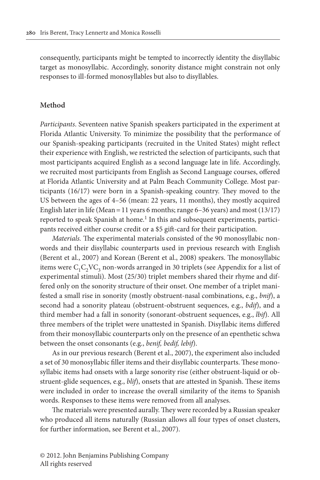consequently, participants might be tempted to incorrectly identity the disyllabic target as monosyllabic. Accordingly, sonority distance might constrain not only responses to ill-formed monosyllables but also to disyllables.

#### **Method**

*Participants*. Seventeen native Spanish speakers participated in the experiment at Florida Atlantic University. To minimize the possibility that the performance of our Spanish-speaking participants (recruited in the United States) might reflect their experience with English, we restricted the selection of participants, such that most participants acquired English as a second language late in life. Accordingly, we recruited most participants from English as Second Language courses, offered at Florida Atlantic University and at Palm Beach Community College. Most participants (16/17) were born in a Spanish-speaking country. They moved to the US between the ages of 4–56 (mean: 22 years, 11 months), they mostly acquired English later in life (Mean=11 years 6 months; range 6–36 years) and most (13/17) reported to speak Spanish at home.<sup>1</sup> In this and subsequent experiments, participants received either course credit or a \$5 gift-card for their participation.

*Materials.* The experimental materials consisted of the 90 monosyllabic nonwords and their disyllabic counterparts used in previous research with English (Berent et al., 2007) and Korean (Berent et al., 2008) speakers. The monosyllabic items were  $C_1C_2VC_3$  non-words arranged in 30 triplets (see Appendix for a list of experimental stimuli). Most (25/30) triplet members shared their rhyme and differed only on the sonority structure of their onset. One member of a triplet manifested a small rise in sonority (mostly obstruent-nasal combinations, e.g., *bnif*), a second had a sonority plateau (obstruent-obstruent sequences, e.g., *bdif*), and a third member had a fall in sonority (sonorant-obstruent sequences, e.g., *lbif*). All three members of the triplet were unattested in Spanish. Disyllabic items differed from their monosyllabic counterparts only on the presence of an epenthetic schwa between the onset consonants (e.g., *benif, bedif, lebif*).

As in our previous research (Berent et al., 2007), the experiment also included a set of 30 monosyllabic filler items and their disyllabic counterparts. These monosyllabic items had onsets with a large sonority rise (either obstruent-liquid or obstruent-glide sequences, e.g., *blif*), onsets that are attested in Spanish. These items were included in order to increase the overall similarity of the items to Spanish words. Responses to these items were removed from all analyses.

The materials were presented aurally. They were recorded by a Russian speaker who produced all items naturally (Russian allows all four types of onset clusters, for further information, see Berent et al., 2007).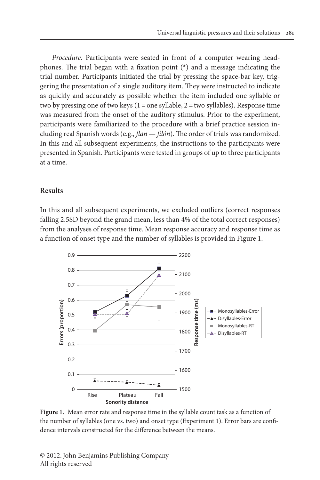*Procedure.* Participants were seated in front of a computer wearing headphones. The trial began with a fixation point (\*) and a message indicating the trial number. Participants initiated the trial by pressing the space-bar key, triggering the presentation of a single auditory item. They were instructed to indicate as quickly and accurately as possible whether the item included one syllable or two by pressing one of two keys  $(1=$ one syllable,  $2=$ two syllables). Response time was measured from the onset of the auditory stimulus. Prior to the experiment, participants were familiarized to the procedure with a brief practice session including real Spanish words (e.g., *flan* — *filón*). The order of trials was randomized. In this and all subsequent experiments, the instructions to the participants were presented in Spanish. Participants were tested in groups of up to three participants at a time.

#### **Results**

In this and all subsequent experiments, we excluded outliers (correct responses falling 2.5SD beyond the grand mean, less than 4% of the total correct responses) from the analyses of response time. Mean response accuracy and response time as a function of onset type and the number of syllables is provided in Figure 1.



**Figure 1.** Mean error rate and response time in the syllable count task as a function of the number of syllables (one vs. two) and onset type (Experiment 1). Error bars are confidence intervals constructed for the difference between the means.

© 2012. John Benjamins Publishing Company All rights reserved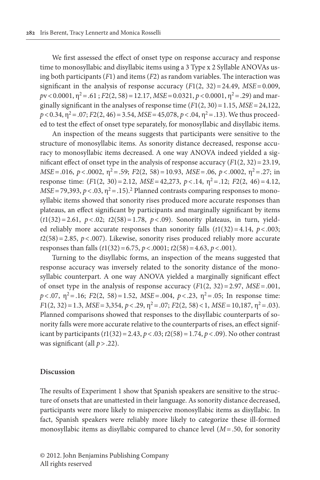We first assessed the effect of onset type on response accuracy and response time to monosyllabic and disyllabic items using a 3 Type x 2 Syllable ANOVAs using both participants (*F*1) and items (*F*2) as random variables. The interaction was significant in the analysis of response accuracy  $(F1(2, 32)=24.49, MSE=0.009,$  $pv < 0.0001$ ,  $\eta^2 = .61$ ;  $F2(2, 58) = 12.17$ ,  $MSE = 0.0321$ ,  $p < 0.0001$ ,  $\eta^2 = .29$ ) and marginally significant in the analyses of response time  $(F1(2, 30) = 1.15, MSE = 24,122$ ,  $p < 0.34$ ,  $\eta^2 = .07$ ;  $F2(2, 46) = 3.54$ ,  $MSE = 45,078$ ,  $p < .04$ ,  $\eta^2 = .13$ ). We thus proceeded to test the effect of onset type separately, for monosyllabic and disyllabic items.

An inspection of the means suggests that participants were sensitive to the structure of monosyllabic items. As sonority distance decreased, response accuracy to monosyllabic items decreased. A one way ANOVA indeed yielded a significant effect of onset type in the analysis of response accuracy  $(F1(2, 32)=23.19,$  $MSE = .016$ ,  $p < .0002$ ,  $\eta^2 = .59$ ;  $F2(2, 58) = 10.93$ ,  $MSE = .06$ ,  $p < .0002$ ,  $\eta^2 = .27$ ; in response time:  $(F1(2, 30) = 2.12, MSE = 42,273, p < .14, \eta^2 = .12; F2(2, 46) = 4.12,$  $MSE = 79,393$ ,  $p < .03$ ,  $\eta^2 = .15$ ).<sup>2</sup> Planned contrasts comparing responses to monosyllabic items showed that sonority rises produced more accurate responses than plateaus, an effect significant by participants and marginally significant by items (*t*1(32)=2.61, *p*<.02; *t*2(58)=1.78, *p*<.09). Sonority plateaus, in turn, yielded reliably more accurate responses than sonority falls  $(t1(32)=4.14, p<.003;$  $t2(58) = 2.85$ ,  $p < .007$ ). Likewise, sonority rises produced reliably more accurate responses than falls (*t*1(32)=6.75, *p*<.0001; *t*2(58)=4.63, *p*<.001).

Turning to the disyllabic forms, an inspection of the means suggested that response accuracy was inversely related to the sonority distance of the monosyllabic counterpart. A one way ANOVA yielded a marginally significant effect of onset type in the analysis of response accuracy (*F*1(2, 32)=2.97, *MSE*=.001,  $p < .07$ ,  $\eta^2 = .16$ ;  $F2(2, 58) = 1.52$ ,  $MSE = .004$ ,  $p < .23$ ,  $\eta^2 = .05$ ; In response time:  $F1(2, 32) = 1.3, MSE = 3,354, p < .29, \eta^2 = .07; F2(2, 58) < 1, MSE = 10,187, \eta^2 = .03).$ Planned comparisons showed that responses to the disyllabic counterparts of sonority falls were more accurate relative to the counterparts of rises, an effect significant by participants  $(t1(32) = 2.43, p < .03; t2(58) = 1.74, p < .09)$ . No other contrast was significant (all *p*>.22).

#### **Discussion**

The results of Experiment 1 show that Spanish speakers are sensitive to the structure of onsets that are unattested in their language. As sonority distance decreased, participants were more likely to misperceive monosyllabic items as disyllabic. In fact, Spanish speakers were reliably more likely to categorize these ill-formed monosyllabic items as disyllabic compared to chance level (*M*=.50, for sonority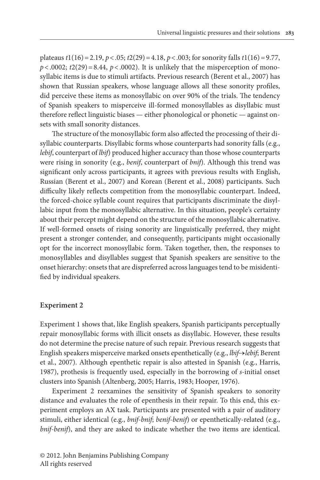plateaus  $t1(16) = 2.19$ ,  $p < .05$ ;  $t2(29) = 4.18$ ,  $p < .003$ ; for sonority falls  $t1(16) = 9.77$ ,  $p < .0002$ ;  $t2(29) = 8.44$ ,  $p < .0002$ ). It is unlikely that the misperception of monosyllabic items is due to stimuli artifacts. Previous research (Berent et al., 2007) has shown that Russian speakers, whose language allows all these sonority profiles, did perceive these items as monosyllabic on over 90% of the trials. The tendency of Spanish speakers to misperceive ill-formed monosyllables as disyllabic must therefore reflect linguistic biases — either phonological or phonetic — against onsets with small sonority distances.

The structure of the monosyllabic form also affected the processing of their disyllabic counterparts. Disyllabic forms whose counterparts had sonority falls (e.g., *lebif*, counterpart of *lbif*) produced higher accuracy than those whose counterparts were rising in sonority (e.g., *benif*, counterpart of *bnif*). Although this trend was significant only across participants, it agrees with previous results with English, Russian (Berent et al., 2007) and Korean (Berent et al., 2008) participants. Such difficulty likely reflects competition from the monosyllabic counterpart. Indeed, the forced-choice syllable count requires that participants discriminate the disyllabic input from the monosyllabic alternative. In this situation, people's certainty about their percept might depend on the structure of the monosyllabic alternative. If well-formed onsets of rising sonority are linguistically preferred, they might present a stronger contender, and consequently, participants might occasionally opt for the incorrect monosyllabic form. Taken together, then, the responses to monosyllables and disyllables suggest that Spanish speakers are sensitive to the onset hierarchy: onsets that are dispreferred across languages tend to be misidentified by individual speakers.

#### **Experiment 2**

Experiment 1 shows that, like English speakers, Spanish participants perceptually repair monosyllabic forms with illicit onsets as disyllabic. However, these results do not determine the precise nature of such repair. Previous research suggests that English speakers misperceive marked onsets epenthetically (e.g., *lbif*→*lebif*; Berent et al., 2007). Although epenthetic repair is also attested in Spanish (e.g., Harris, 1987), prothesis is frequently used, especially in the borrowing of *s-*initial onset clusters into Spanish (Altenberg, 2005; Harris, 1983; Hooper, 1976).

Experiment 2 reexamines the sensitivity of Spanish speakers to sonority distance and evaluates the role of epenthesis in their repair. To this end, this experiment employs an AX task. Participants are presented with a pair of auditory stimuli, either identical (e.g., *bnif-bnif*; *benif-benif*) or epenthetically-related (e.g., *bnif-benif*), and they are asked to indicate whether the two items are identical.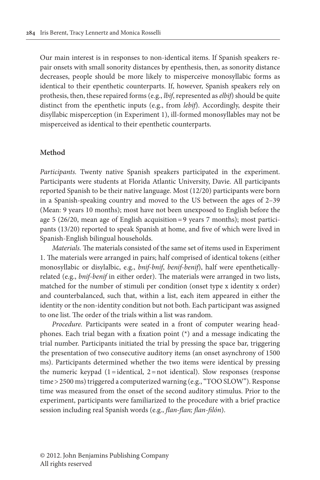Our main interest is in responses to non-identical items. If Spanish speakers repair onsets with small sonority distances by epenthesis, then, as sonority distance decreases, people should be more likely to misperceive monosyllabic forms as identical to their epenthetic counterparts. If, however, Spanish speakers rely on prothesis, then, these repaired forms (e.g., *lbif*, represented as *elbif*) should be quite distinct from the epenthetic inputs (e.g., from *lebif*). Accordingly, despite their disyllabic misperception (in Experiment 1), ill-formed monosyllables may not be misperceived as identical to their epenthetic counterparts.

#### **Method**

*Participants.* Twenty native Spanish speakers participated in the experiment. Participants were students at Florida Atlantic University, Davie. All participants reported Spanish to be their native language. Most (12/20) participants were born in a Spanish-speaking country and moved to the US between the ages of 2–39 (Mean: 9 years 10 months); most have not been unexposed to English before the age 5 (26/20, mean age of English acquisition=9 years 7 months); most participants (13/20) reported to speak Spanish at home, and five of which were lived in Spanish-English bilingual households.

*Materials.* The materials consisted of the same set of items used in Experiment 1. The materials were arranged in pairs; half comprised of identical tokens (either monosyllabic or disylalbic, e.g., *bnif-bnif*, *benif-benif*), half were epentheticallyrelated (e.g., *bnif*-*benif* in either order). The materials were arranged in two lists, matched for the number of stimuli per condition (onset type x identity x order) and counterbalanced, such that, within a list, each item appeared in either the identity or the non-identity condition but not both. Each participant was assigned to one list. The order of the trials within a list was random.

*Procedure.* Participants were seated in a front of computer wearing headphones. Each trial began with a fixation point (\*) and a message indicating the trial number. Participants initiated the trial by pressing the space bar, triggering the presentation of two consecutive auditory items (an onset asynchrony of 1500 ms). Participants determined whether the two items were identical by pressing the numeric keypad  $(1=$ identical,  $2=$ not identical). Slow responses (response time>2500 ms) triggered a computerized warning (e.g., "TOO SLOW"). Response time was measured from the onset of the second auditory stimulus. Prior to the experiment, participants were familiarized to the procedure with a brief practice session including real Spanish words (e.g., *flan-flan; flan*-*filón*).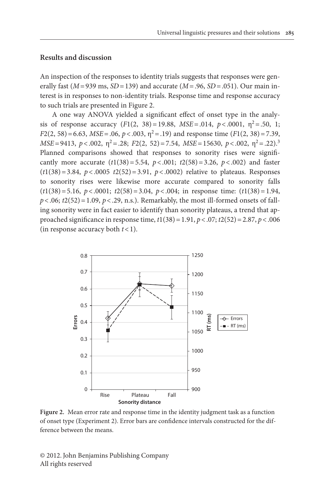#### **Results and discussion**

An inspection of the responses to identity trials suggests that responses were generally fast (*M*=939 ms, *SD*=139) and accurate (*M*=.96, *SD*=.051). Our main interest is in responses to non-identity trials. Response time and response accuracy to such trials are presented in Figure 2.

A one way ANOVA yielded a significant effect of onset type in the analysis of response accuracy  $(F1(2, 38) = 19.88, MSE = .014, p < .0001, \eta^2 = .50, 1;$  $F2(2, 58) = 6.63$ ,  $MSE = .06$ ,  $p < .003$ ,  $\eta^2 = .19$ ) and response time ( $F1(2, 38) = 7.39$ ,  $MSE = 9413$ ,  $p < .002$ ,  $\eta^2 = .28$ ;  $F2(2, 52) = 7.54$ ,  $MSE = 15630$ ,  $p < .002$ ,  $\eta^2 = .22$ ).<sup>3</sup> Planned comparisons showed that responses to sonority rises were significantly more accurate  $(t1(38)=5.54, p < .001; t2(58)=3.26, p < .002)$  and faster  $(t1(38)=3.84, p<.0005 t2(52)=3.91, p<.0002)$  relative to plateaus. Responses to sonority rises were likewise more accurate compared to sonority falls (*t*1(38)=5.16, *p*<.0001; *t*2(58)=3.04, *p*<.004; in response time: (*t*1(38)=1.94,  $p < .06$ ;  $t2(52) = 1.09$ ,  $p < .29$ , n.s.). Remarkably, the most ill-formed onsets of falling sonority were in fact easier to identify than sonority plateaus, a trend that approached significance in response time, *t*1(38)=1.91, *p*<.07; *t*2(52)=2.87, *p*<.006 (in response accuracy both  $t < 1$ ).



**Figure 2.** Mean error rate and response time in the identity judgment task as a function of onset type (Experiment 2). Error bars are confidence intervals constructed for the difference between the means.

© 2012. John Benjamins Publishing Company All rights reserved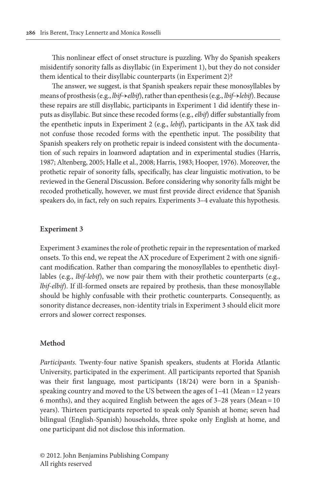This nonlinear effect of onset structure is puzzling. Why do Spanish speakers misidentify sonority falls as disyllabic (in Experiment 1), but they do not consider them identical to their disyllabic counterparts (in Experiment 2)?

The answer, we suggest, is that Spanish speakers repair these monosyllables by means of prosthesis (e.g., *lbif*→*elbif*), rather than epenthesis (e.g., *lbif*→*lebif*). Because these repairs are still disyllabic, participants in Experiment 1 did identify these inputs as disyllabic. But since these recoded forms (e.g., *elbif*) differ substantially from the epenthetic inputs in Experiment 2 (e.g., *lebif*), participants in the AX task did not confuse those recoded forms with the epenthetic input. The possibility that Spanish speakers rely on prothetic repair is indeed consistent with the documentation of such repairs in loanword adaptation and in experimental studies (Harris, 1987; Altenberg, 2005; Halle et al., 2008; Harris, 1983; Hooper, 1976). Moreover, the prothetic repair of sonority falls, specifically, has clear linguistic motivation, to be reviewed in the General Discussion. Before considering why sonority falls might be recoded prothetically, however, we must first provide direct evidence that Spanish speakers do, in fact, rely on such repairs. Experiments 3–4 evaluate this hypothesis.

#### **Experiment 3**

Experiment 3 examines the role of prothetic repair in the representation of marked onsets. To this end, we repeat the AX procedure of Experiment 2 with one significant modification. Rather than comparing the monosyllables to epenthetic disyllables (e.g., *lbif-lebif*), we now pair them with their prothetic counterparts (e.g., *lbif-elbif*). If ill-formed onsets are repaired by prothesis, than these monosyllable should be highly confusable with their prothetic counterparts. Consequently, as sonority distance decreases, non-identity trials in Experiment 3 should elicit more errors and slower correct responses.

#### **Method**

*Participants.* Twenty-four native Spanish speakers, students at Florida Atlantic University, participated in the experiment. All participants reported that Spanish was their first language, most participants (18/24) were born in a Spanishspeaking country and moved to the US between the ages of 1–41 (Mean=12 years 6 months), and they acquired English between the ages of 3–28 years (Mean=10 years). Thirteen participants reported to speak only Spanish at home; seven had bilingual (English-Spanish) households, three spoke only English at home, and one participant did not disclose this information.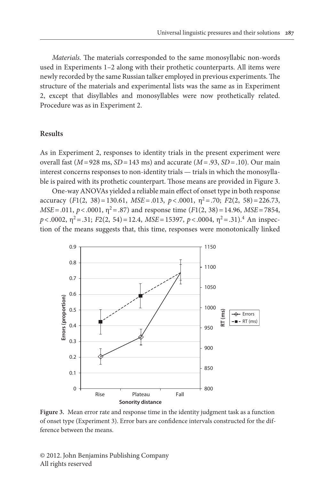*Materials.* The materials corresponded to the same monosyllabic non-words used in Experiments 1–2 along with their prothetic counterparts. All items were newly recorded by the same Russian talker employed in previous experiments. The structure of the materials and experimental lists was the same as in Experiment 2, except that disyllables and monosyllables were now prothetically related. Procedure was as in Experiment 2.

#### **Results**

As in Experiment 2, responses to identity trials in the present experiment were overall fast (*M*=928 ms, *SD*=143 ms) and accurate (*M*=.93, *SD*=.10). Our main interest concerns responses to non-identity trials — trials in which the monosyllable is paired with its prothetic counterpart. Those means are provided in Figure 3.

One-way ANOVAs yielded a reliable main effect of onset type in both response accuracy  $(F1(2, 38) = 130.61, MSE = .013, p < .0001, \eta^2 = .70; F2(2, 58) = 226.73,$ *MSE* = .011,  $p < .0001$ ,  $\eta^2 = .87$ ) and response time (*F*1(2, 38) = 14.96, *MSE* = 7854,  $p < .0002$ ,  $\eta^2 = .31$ ;  $F2(2, 54) = 12.4$ ,  $MSE = 15397$ ,  $p < .0004$ ,  $\eta^2 = .31$ ).<sup>4</sup> An inspection of the means suggests that, this time, responses were monotonically linked



**Figure 3.** Mean error rate and response time in the identity judgment task as a function of onset type (Experiment 3). Error bars are confidence intervals constructed for the difference between the means.

© 2012. John Benjamins Publishing Company All rights reserved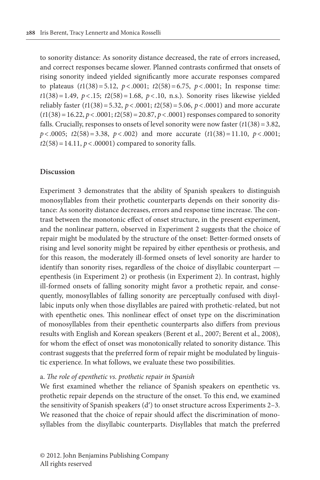to sonority distance: As sonority distance decreased, the rate of errors increased, and correct responses became slower. Planned contrasts confirmed that onsets of rising sonority indeed yielded significantly more accurate responses compared to plateaus  $(t1(38)=5.12, p<.0001; t2(58)=6.75, p<.0001;$  In response time: *t*1(38)=1.49, *p*<.15; *t*2(58)=1.68, *p*<.10, n.s.). Sonority rises likewise yielded reliably faster  $(t1(38) = 5.32, p < .0001; t2(58) = 5.06, p < .0001$  and more accurate  $(t1(38) = 16.22, p < .0001; t2(58) = 20.87, p < .0001$  responses compared to sonority falls. Crucially, responses to onsets of level sonority were now faster (*t*1(38)=3.82, *p*<.0005; *t*2(58)=3.38, *p*<.002) and more accurate (*t*1(38)=11.10, *p*<.0001;  $t2(58) = 14.11$ ,  $p < .00001$ ) compared to sonority falls.

#### **Discussion**

Experiment 3 demonstrates that the ability of Spanish speakers to distinguish monosyllables from their prothetic counterparts depends on their sonority distance: As sonority distance decreases, errors and response time increase. The contrast between the monotonic effect of onset structure, in the present experiment, and the nonlinear pattern, observed in Experiment 2 suggests that the choice of repair might be modulated by the structure of the onset: Better-formed onsets of rising and level sonority might be repaired by either epenthesis or prothesis, and for this reason, the moderately ill-formed onsets of level sonority are harder to identify than sonority rises, regardless of the choice of disyllabic counterpart epenthesis (in Experiment 2) or prothesis (in Experiment 2). In contrast, highly ill-formed onsets of falling sonority might favor a prothetic repair, and consequently, monosyllables of falling sonority are perceptually confused with disyllabic inputs only when those disyllables are paired with prothetic-related, but not with epenthetic ones. This nonlinear effect of onset type on the discrimination of monosyllables from their epenthetic counterparts also differs from previous results with English and Korean speakers (Berent et al., 2007; Berent et al., 2008), for whom the effect of onset was monotonically related to sonority distance. This contrast suggests that the preferred form of repair might be modulated by linguistic experience. In what follows, we evaluate these two possibilities.

#### a. *The role of epenthetic vs. prothetic repair in Spanish*

We first examined whether the reliance of Spanish speakers on epenthetic vs. prothetic repair depends on the structure of the onset. To this end, we examined the sensitivity of Spanish speakers (d′) to onset structure across Experiments 2–3. We reasoned that the choice of repair should affect the discrimination of monosyllables from the disyllabic counterparts. Disyllables that match the preferred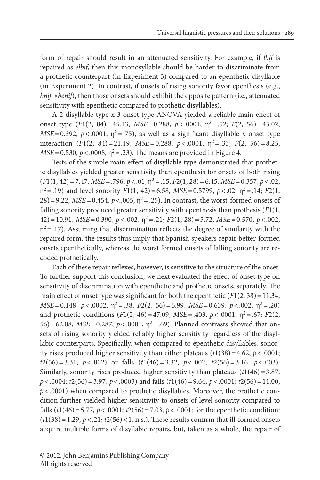form of repair should result in an attenuated sensitivity. For example, if *lbif* is repaired as *elbif*, then this monosyllable should be harder to discriminate from a prothetic counterpart (in Experiment 3) compared to an epenthetic disyllable (in Experiment 2). In contrast, if onsets of rising sonority favor epenthesis (e.g., *bnif*→*benif*), then those onsets should exhibit the opposite pattern (i.e., attenuated sensitivity with epenthetic compared to prothetic disyllables).

A 2 disyllable type x 3 onset type ANOVA yielded a reliable main effect of onset type  $(F1(2, 84) = 45.13, MSE = 0.288, p < .0001, \eta^2 = .52; F(2, 56) = 45.02$ ,  $MSE = 0.392$ ,  $p < .0001$ ,  $\eta^2 = .75$ ), as well as a significant disyllable x onset type interaction (*F*1(2, 84)=21.19, *MSE*=0.288,  $p < .0001$ ,  $\eta^2 = .33$ ; *F*(2, 56)=8.25,  $MSE = 0.530$ ,  $p < .0008$ ,  $\eta^2 = .23$ ). The means are provided in Figure 4.

Tests of the simple main effect of disyllable type demonstrated that prothetic disyllables yielded greater sensitivity than epenthesis for onsets of both rising  $(F1(1, 42) = 7.47, MSE = .796, p < .01, \eta^2 = .15; F2(1, 28) = 6.45, MSE = 0.357, p < .02,$  $\eta^2$  = .19) and level sonority *F*1(1, 42) = 6.58, *MSE* = 0.5799, *p* < .02,  $\eta^2$  = .14; *F*2(1, 28) = 9.22, *MSE* = 0.454,  $p < .005$ ,  $\eta^2 = .25$ ). In contrast, the worst-formed onsets of falling sonority produced greater sensitivity with epenthesis than prothesis (*F*1(1,  $42$ ) = 10.91, *MSE* = 0.390,  $p < .002$ ,  $\eta^2$  = .21;  $F2(1, 28)$  = 5.72, *MSE* = 0.570,  $p < .002$ ,  $\eta^2$  = .17). Assuming that discrimination reflects the degree of similarity with the repaired form, the results thus imply that Spanish speakers repair better-formed onsets epenthetically, whereas the worst formed onsets of falling sonority are recoded prothetically.

Each of these repair reflexes, however, is sensitive to the structure of the onset. To further support this conclusion, we next evaluated the effect of onset type on sensitivity of discrimination with epenthetic and prothetic onsets, separately. The main effect of onset type was significant for both the epenthetic  $(F1(2, 38) = 11.34$ ,  $MSE = 0.148$ ,  $p < .0002$ ,  $\eta^2 = .38$ ;  $F2(2, 56) = 6.99$ ,  $MSE = 0.639$ ,  $p < .002$ ,  $\eta^2 = .20$ ) and prothetic conditions ( $F1(2, 46) = 47.09$ ,  $MSE = .403$ ,  $p < .0001$ ,  $\eta^2 = .67$ ;  $F2(2, 46) = .47.09$ 56)=62.08,  $MSE = 0.287$ ,  $p < .0001$ ,  $\eta^2 = .69$ ). Planned contrasts showed that onsets of rising sonority yielded reliably higher sensitivity regardless of the disyllabic counterparts. Specifically, when compared to epenthetic disyllables, sonority rises produced higher sensitivity than either plateaus  $(t1(38)=4.62, p<.0001;$ *t*2(56)=3.31, *p*<.002) or falls (*t*1(46)=3.32, *p*<.002; *t*2(56)=3.16, *p*<.003). Similarly, sonority rises produced higher sensitivity than plateaus (*t*1(46)=3.87, *p*<.0004; *t*2(56)=3.97, *p*<.0003) and falls (*t*1(46)=9.64, *p*<.0001; *t*2(56)=11.00, *p*<.0001) when compared to prothetic disyllables. Moreover, the prothetic condition further yielded higher sensitivity to onsets of level sonority compared to falls  $(t1(46) = 5.77, p < .0001; t2(56) = 7.03, p < .0001;$  for the epenthetic condition:  $(t1(38)=1.29, p < .21; t2(56) < 1, n.s.).$  These results confirm that ill-formed onsets acquire multiple forms of disyllabic repairs, but, taken as a whole, the repair of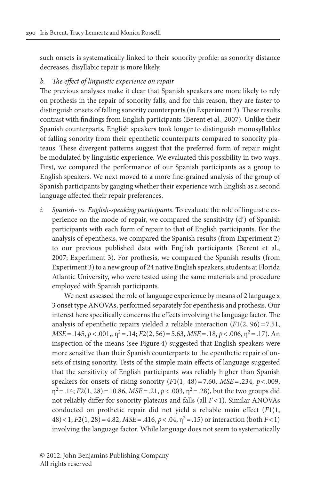such onsets is systematically linked to their sonority profile: as sonority distance decreases, disyllabic repair is more likely.

#### *b. The effect of linguistic experience on repair*

The previous analyses make it clear that Spanish speakers are more likely to rely on prothesis in the repair of sonority falls, and for this reason, they are faster to distinguish onsets of falling sonority counterparts (in Experiment 2). These results contrast with findings from English participants (Berent et al., 2007). Unlike their Spanish counterparts, English speakers took longer to distinguish monosyllables of falling sonority from their epenthetic counterparts compared to sonority plateaus. These divergent patterns suggest that the preferred form of repair might be modulated by linguistic experience. We evaluated this possibility in two ways. First, we compared the performance of our Spanish participants as a group to English speakers. We next moved to a more fine-grained analysis of the group of Spanish participants by gauging whether their experience with English as a second language affected their repair preferences.

*i. Spanish- vs. English-speaking participants*. To evaluate the role of linguistic experience on the mode of repair, we compared the sensitivity (d′) of Spanish participants with each form of repair to that of English participants. For the analysis of epenthesis, we compared the Spanish results (from Experiment 2) to our previous published data with English participants (Berent et al., 2007; Experiment 3). For prothesis, we compared the Spanish results (from Experiment 3) to a new group of 24 native English speakers, students at Florida Atlantic University, who were tested using the same materials and procedure employed with Spanish participants.

We next assessed the role of language experience by means of 2 language x 3 onset type ANOVAs, performed separately for epenthesis and prothesis. Our interest here specifically concerns the effects involving the language factor. The analysis of epenthetic repairs yielded a reliable interaction (*F*1(2, 96)=7.51,  $MSE = .145$ ,  $p < .001$ ,,  $\eta^2 = .14$ ;  $F2(2, 56) = 5.63$ ,  $MSE = .18$ ,  $p < .006$ ,  $\eta^2 = .17$ ). An inspection of the means (see Figure 4) suggested that English speakers were more sensitive than their Spanish counterparts to the epenthetic repair of onsets of rising sonority. Tests of the simple main effects of language suggested that the sensitivity of English participants was reliably higher than Spanish speakers for onsets of rising sonority  $(F1(1, 48) = 7.60, MSE = .234, p < .009,$  $\eta^2 = .14$ ;  $F2(1, 28) = 10.86$ ,  $MSE = .21$ ,  $p < .003$ ,  $\eta^2 = .28$ ), but the two groups did not reliably differ for sonority plateaus and falls (all *F*<1). Similar ANOVAs conducted on prothetic repair did not yield a reliable main effect (*F*1(1,  $48$  < 1;  $F2(1, 28) = 4.82$ ,  $MSE = .416$ ,  $p < .04$ ,  $p<sup>2</sup> = .15$ ) or interaction (both  $F < 1$ ) involving the language factor. While language does not seem to systematically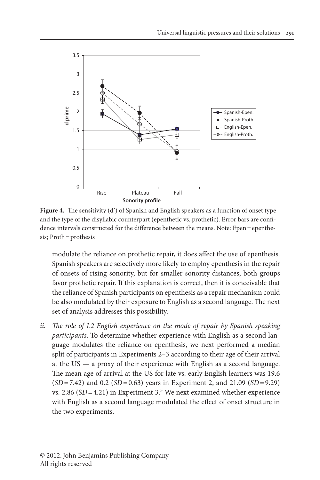

**Figure 4.** The sensitivity (d′) of Spanish and English speakers as a function of onset type and the type of the disyllabic counterpart (epenthetic vs. prothetic). Error bars are confidence intervals constructed for the difference between the means. Note: Epen=epenthesis; Proth=prothesis

modulate the reliance on prothetic repair, it does affect the use of epenthesis. Spanish speakers are selectively more likely to employ epenthesis in the repair of onsets of rising sonority, but for smaller sonority distances, both groups favor prothetic repair. If this explanation is correct, then it is conceivable that the reliance of Spanish participants on epenthesis as a repair mechanism could be also modulated by their exposure to English as a second language. The next set of analysis addresses this possibility.

*ii. The role of L2 English experience on the mode of repair by Spanish speaking participants*. To determine whether experience with English as a second language modulates the reliance on epenthesis, we next performed a median split of participants in Experiments 2–3 according to their age of their arrival at the US — a proxy of their experience with English as a second language. The mean age of arrival at the US for late vs. early English learners was 19.6 (*SD*=7.42) and 0.2 (*SD*=0.63) years in Experiment 2, and 21.09 (*SD*=9.29) vs. 2.86 ( $SD = 4.21$ ) in Experiment 3.<sup>5</sup> We next examined whether experience with English as a second language modulated the effect of onset structure in the two experiments.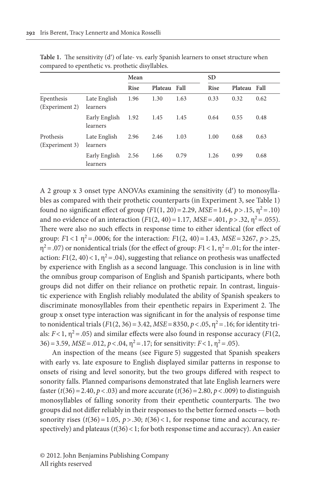|                              |                           | Mean |              | <b>SD</b> |      |              |      |
|------------------------------|---------------------------|------|--------------|-----------|------|--------------|------|
|                              |                           | Rise | Plateau Fall |           | Rise | Plateau Fall |      |
| Epenthesis<br>(Experiment 2) | Late English<br>learners  | 1.96 | 1.30         | 1.63      | 0.33 | 0.32         | 0.62 |
|                              | Early English<br>learners | 1.92 | 1.45         | 1.45      | 0.64 | 0.55         | 0.48 |
| Prothesis<br>(Experiment 3)  | Late English<br>learners  | 2.96 | 2.46         | 1.03      | 1.00 | 0.68         | 0.63 |
|                              | Early English<br>learners | 2.56 | 1.66         | 0.79      | 1.26 | 0.99         | 0.68 |

**Table 1.** The sensitivity (d′) of late- vs. early Spanish learners to onset structure when compared to epenthetic vs. prothetic disyllables.

A 2 group x 3 onset type ANOVAs examining the sensitivity (d′) to monosyllables as compared with their prothetic counterparts (in Experiment 3, see Table 1) found no significant effect of group  $(F1(1, 20) = 2.29, MSE = 1.64, p > .15, \eta^2 = .10)$ and no evidence of an interaction  $(F1(2, 40) = 1.17, MSE = .401, p > .32, \eta^2 = .055)$ . There were also no such effects in response time to either identical (for effect of group:  $F1 < 1 \eta^2 = .0006$ ; for the interaction:  $F1(2, 40) = 1.43$ ,  $MSE = 3267$ ,  $p > .25$ ,  $\eta^2$  = .07) or nonidentical trials (for the effect of group: *F*1 < 1,  $\eta^2$  = .01; for the interaction:  $F1(2, 40)$  < 1,  $\eta^2$  = .04), suggesting that reliance on prothesis was unaffected by experience with English as a second language. This conclusion is in line with the omnibus group comparison of English and Spanish participants, where both groups did not differ on their reliance on prothetic repair. In contrast, linguistic experience with English reliably modulated the ability of Spanish speakers to discriminate monosyllables from their epenthetic repairs in Experiment 2. The group x onset type interaction was significant in for the analysis of response time to nonidentical trials  $(F1(2, 36) = 3.42$ ,  $MSE = 8350$ ,  $p < .05$ ,  $\eta^2 = .16$ ; for identity trials:  $F < 1$ ,  $\eta^2 = .05$ ) and similar effects were also found in response accuracy ( $F1(2)$ , 36) = 3.59, *MSE* = .012,  $p < .04$ ,  $\eta^2$  = .17; for sensitivity:  $F < 1$ ,  $\eta^2$  = .05).

An inspection of the means (see Figure 5) suggested that Spanish speakers with early vs. late exposure to English displayed similar patterns in response to onsets of rising and level sonority, but the two groups differed with respect to sonority falls. Planned comparisons demonstrated that late English learners were faster ( $t(36) = 2.40$ ,  $p < .03$ ) and more accurate ( $t(36) = 2.80$ ,  $p < .009$ ) to distinguish monosyllables of falling sonority from their epenthetic counterparts. The two groups did not differ reliably in their responses to the better formed onsets — both sonority rises  $(t(36) = 1.05, p > .30; t(36) < 1$ , for response time and accuracy, respectively) and plateaus (*t*(36)<1; for both response time and accuracy). An easier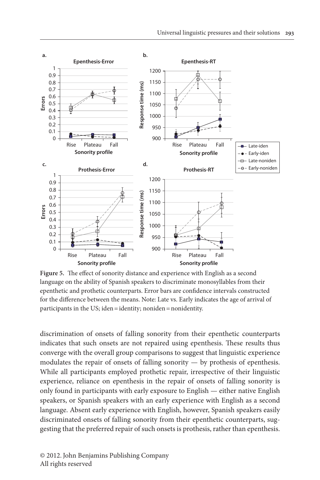

**Figure 5.** The effect of sonority distance and experience with English as a second language on the ability of Spanish speakers to discriminate monosyllables from their epenthetic and prothetic counterparts. Error bars are confidence intervals constructed for the difference between the means. Note: Late vs. Early indicates the age of arrival of participants in the US; iden=identity; noniden=nonidentity.

discrimination of onsets of falling sonority from their epenthetic counterparts indicates that such onsets are not repaired using epenthesis. These results thus converge with the overall group comparisons to suggest that linguistic experience modulates the repair of onsets of falling sonority — by prothesis of epenthesis. While all participants employed prothetic repair, irrespective of their linguistic experience, reliance on epenthesis in the repair of onsets of falling sonority is only found in participants with early exposure to English — either native English speakers, or Spanish speakers with an early experience with English as a second language. Absent early experience with English, however, Spanish speakers easily discriminated onsets of falling sonority from their epenthetic counterparts, suggesting that the preferred repair of such onsets is prothesis, rather than epenthesis.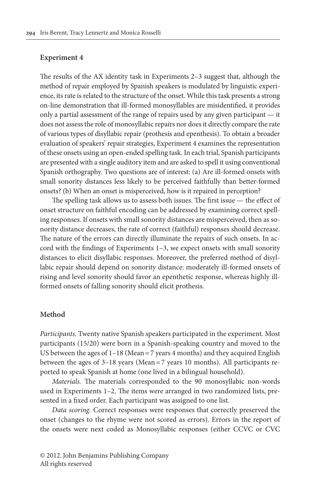#### **Experiment 4**

The results of the AX identity task in Experiments 2–3 suggest that, although the method of repair employed by Spanish speakers is modulated by linguistic experience, its rate is related to the structure of the onset. While this task presents a strong on-line demonstration that ill-formed monosyllables are misidentified, it provides only a partial assessment of the range of repairs used by any given participant — it does not assess the role of monosyllabic repairs nor does it directly compare the rate of various types of disyllabic repair (prothesis and epenthesis). To obtain a broader evaluation of speakers' repair strategies, Experiment 4 examines the representation of these onsets using an open-ended spelling task. In each trial, Spanish participants are presented with a single auditory item and are asked to spell it using conventional Spanish orthography. Two questions are of interest: (a) Are ill-formed onsets with small sonority distances less likely to be perceived faithfully than better-formed onsets? (b) When an onset is misperceived, how is it repaired in perception?

The spelling task allows us to assess both issues. The first issue — the effect of onset structure on faithful encoding can be addressed by examining correct spelling responses. If onsets with small sonority distances are misperceived, then as sonority distance decreases, the rate of correct (faithful) responses should decrease. The nature of the errors can directly illuminate the repairs of such onsets. In accord with the findings of Experiments 1–3, we expect onsets with small sonority distances to elicit disyllabic responses. Moreover, the preferred method of disyllabic repair should depend on sonority distance: moderately ill-formed onsets of rising and level sonority should favor an epenthetic response, whereas highly illformed onsets of falling sonority should elicit prothesis.

#### **Method**

*Participants.* Twenty native Spanish speakers participated in the experiment. Most participants (15/20) were born in a Spanish-speaking country and moved to the US between the ages of 1–18 (Mean=7 years 4 months) and they acquired English between the ages of 3–18 years (Mean=7 years 10 months). All participants reported to speak Spanish at home (one lived in a bilingual household).

*Materials.* The materials corresponded to the 90 monosyllabic non-words used in Experiments 1–2. The items were arranged in two randomized lists, presented in a fixed order. Each participant was assigned to one list.

*Data scoring.* Correct responses were responses that correctly preserved the onset (changes to the rhyme were not scored as errors). Errors in the report of the onsets were next coded as Monosyllabic responses (either CCVC or CVC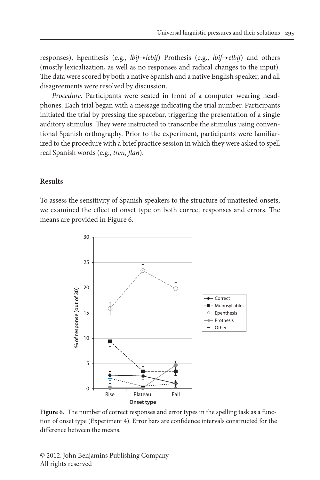responses), Epenthesis (e.g., *lbif*→*lebif*) Prothesis (e.g., *lbif*→*elbif*) and others (mostly lexicalization, as well as no responses and radical changes to the input). The data were scored by both a native Spanish and a native English speaker, and all disagreements were resolved by discussion.

*Procedure.* Participants were seated in front of a computer wearing headphones. Each trial began with a message indicating the trial number. Participants initiated the trial by pressing the spacebar, triggering the presentation of a single auditory stimulus. They were instructed to transcribe the stimulus using conventional Spanish orthography. Prior to the experiment, participants were familiarized to the procedure with a brief practice session in which they were asked to spell real Spanish words (e.g., *tren*, *flan*).

#### **Results**

To assess the sensitivity of Spanish speakers to the structure of unattested onsets, we examined the effect of onset type on both correct responses and errors. The means are provided in Figure 6.



**Figure 6.** The number of correct responses and error types in the spelling task as a function of onset type (Experiment 4). Error bars are confidence intervals constructed for the difference between the means.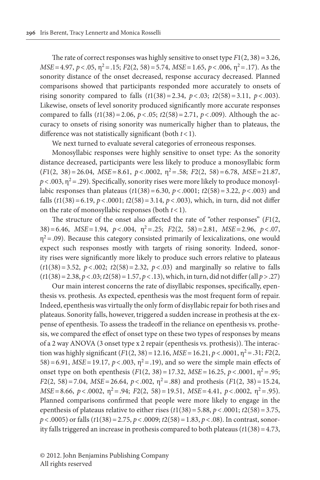The rate of correct responses was highly sensitive to onset type *F*1(2, 38)=3.26,  $MSE = 4.97$ ,  $p < .05$ ,  $\eta^2 = .15$ ;  $F2(2, 58) = 5.74$ ,  $MSE = 1.65$ ,  $p < .006$ ,  $\eta^2 = .17$ ). As the sonority distance of the onset decreased, response accuracy decreased. Planned comparisons showed that participants responded more accurately to onsets of rising sonority compared to falls  $(t1(38) = 2.34, p < .03; t2(58) = 3.11, p < .003)$ . Likewise, onsets of level sonority produced significantly more accurate responses compared to falls  $(t1(38) = 2.06, p < .05; t2(58) = 2.71, p < .009)$ . Although the accuracy to onsets of rising sonority was numerically higher than to plateaus, the difference was not statistically significant (both *t*<1).

We next turned to evaluate several categories of erroneous responses.

Monosyllabic responses were highly sensitive to onset type: As the sonority distance decreased, participants were less likely to produce a monosyllabic form  $(F1(2, 38) = 26.04, MSE = 8.61, p < .0002, \eta^2 = .58; F2(2, 58) = 6.78, MSE = 21.87,$  $p < .003$ ,  $\eta^2 = .29$ ). Specifically, sonority rises were more likely to produce monosyllabic responses than plateaus (*t*1(38)=6.30, *p*<.0001; *t*2(58)=3.22, *p*<.003) and falls (*t*1(38)=6.19, *p*<.0001; *t*2(58)=3.14, *p*<.003), which, in turn, did not differ on the rate of monosyllabic responses (both *t*<1).

The structure of the onset also affected the rate of "other responses" (*F*1(2, 38)=6.46, *MSE*=1.94, *p*<.004, η2=.25; *F*2(2, 58)=2.81, *MSE*=2.96, *p*<.07,  $\eta^2$  = .09). Because this category consisted primarily of lexicalizations, one would expect such responses mostly with targets of rising sonority. Indeed, sonority rises were significantly more likely to produce such errors relative to plateaus  $(t1(38)=3.52, p<.002; t2(58)=2.32, p<.03)$  and marginally so relative to falls (*t*1(38)=2.38, *p*<.03; *t*2(58)=1.57, *p*<.13), which, in turn, did not differ (all *p*>.27)

Our main interest concerns the rate of disyllabic responses, specifically, epenthesis vs. prothesis. As expected, epenthesis was the most frequent form of repair. Indeed, epenthesis was virtually the only form of disyllabic repair for both rises and plateaus. Sonority falls, however, triggered a sudden increase in prothesis at the expense of epenthesis. To assess the tradeoff in the reliance on epenthesis vs. prothesis, we compared the effect of onset type on these two types of responses by means of a 2 way ANOVA (3 onset type x 2 repair (epenthesis vs. prothesis)). The interaction was highly significant  $(F1(2, 38) = 12.16$ ,  $MSE = 16.21$ ,  $p < .0001$ ,  $\eta^2 = .31$ ;  $F2(2, 16)$ 58) = 6.91,  $MSE$  = 19.17,  $p < .003$ ,  $\eta^2 = .19$ ), and so were the simple main effects of onset type on both epenthesis  $(F1(2, 38) = 17.32, MSE = 16.25, p < .0001, \eta^2 = .95;$  $F2(2, 58) = 7.04$ ,  $MSE = 26.64$ ,  $p < .002$ ,  $\eta^2 = .88$ ) and prothesis ( $F1(2, 38) = 15.24$ ,  $MSE = 8.66$ ,  $p < .0002$ ,  $\eta^2 = .94$ ;  $F2(2, 58) = 19.51$ ,  $MSE = 4.41$ ,  $p < .0002$ ,  $\eta^2 = .95$ ). Planned comparisons confirmed that people were more likely to engage in the epenthesis of plateaus relative to either rises  $(t1(38)=5.88, p < .0001; t2(58)=3.75,$ *p*<.0005) or falls (*t*1(38)=2.75, *p*<.0009; *t*2(58)=1.83, *p*<.08). In contrast, sonority falls triggered an increase in prothesis compared to both plateaus (*t*1(38)=4.73,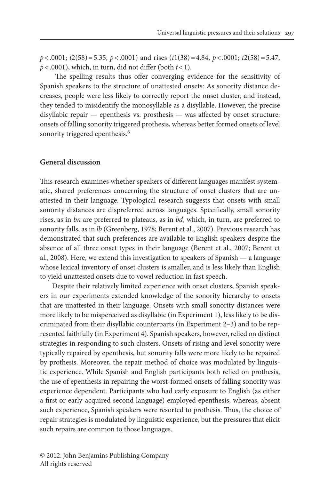*p*<.0001; *t*2(58)=5.35, *p*<.0001) and rises (*t*1(38)=4.84, *p*<.0001; *t*2(58)=5.47,  $p$ <.0001), which, in turn, did not differ (both  $t$  < 1).

The spelling results thus offer converging evidence for the sensitivity of Spanish speakers to the structure of unattested onsets: As sonority distance decreases, people were less likely to correctly report the onset cluster, and instead, they tended to misidentify the monosyllable as a disyllable. However, the precise disyllabic repair — epenthesis vs. prosthesis — was affected by onset structure: onsets of falling sonority triggered prothesis, whereas better formed onsets of level sonority triggered epenthesis.<sup>6</sup>

#### **General discussion**

This research examines whether speakers of different languages manifest systematic, shared preferences concerning the structure of onset clusters that are unattested in their language. Typological research suggests that onsets with small sonority distances are dispreferred across languages. Specifically, small sonority rises, as in *bn* are preferred to plateaus, as in *bd*, which, in turn, are preferred to sonority falls, as in *lb* (Greenberg, 1978; Berent et al., 2007). Previous research has demonstrated that such preferences are available to English speakers despite the absence of all three onset types in their language (Berent et al., 2007; Berent et al., 2008). Here, we extend this investigation to speakers of Spanish — a language whose lexical inventory of onset clusters is smaller, and is less likely than English to yield unattested onsets due to vowel reduction in fast speech.

Despite their relatively limited experience with onset clusters, Spanish speakers in our experiments extended knowledge of the sonority hierarchy to onsets that are unattested in their language. Onsets with small sonority distances were more likely to be misperceived as disyllabic (in Experiment 1), less likely to be discriminated from their disyllabic counterparts (in Experiment 2–3) and to be represented faithfully (in Experiment 4). Spanish speakers, however, relied on distinct strategies in responding to such clusters. Onsets of rising and level sonority were typically repaired by epenthesis, but sonority falls were more likely to be repaired by prothesis. Moreover, the repair method of choice was modulated by linguistic experience. While Spanish and English participants both relied on prothesis, the use of epenthesis in repairing the worst-formed onsets of falling sonority was experience dependent. Participants who had early exposure to English (as either a first or early-acquired second language) employed epenthesis, whereas, absent such experience, Spanish speakers were resorted to prothesis. Thus, the choice of repair strategies is modulated by linguistic experience, but the pressures that elicit such repairs are common to those languages.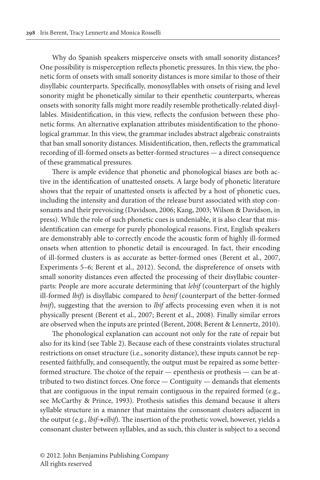Why do Spanish speakers misperceive onsets with small sonority distances? One possibility is misperception reflects phonetic pressures. In this view, the phonetic form of onsets with small sonority distances is more similar to those of their disyllabic counterparts. Specifically, monosyllables with onsets of rising and level sonority might be phonetically similar to their epenthetic counterparts, whereas onsets with sonority falls might more readily resemble prothetically-related disyllables. Misidentification, in this view, reflects the confusion between these phonetic forms. An alternative explanation attributes misidentification to the phonological grammar. In this view, the grammar includes abstract algebraic constraints that ban small sonority distances. Misidentification, then, reflects the grammatical recording of ill-formed onsets as better-formed structures — a direct consequence of these grammatical pressures.

There is ample evidence that phonetic and phonological biases are both active in the identification of unattested onsets. A large body of phonetic literature shows that the repair of unattested onsets is affected by a host of phonetic cues, including the intensity and duration of the release burst associated with stop consonants and their prevoicing (Davidson, 2006; Kang, 2003; Wilson & Davidson, in press). While the role of such phonetic cues is undeniable, it is also clear that misidentification can emerge for purely phonological reasons. First, English speakers are demonstrably able to correctly encode the acoustic form of highly ill-formed onsets when attention to phonetic detail is encouraged. In fact, their encoding of ill-formed clusters is as accurate as better-formed ones (Berent et al., 2007, Experiments 5–6; Berent et al., 2012). Second, the dispreference of onsets with small sonority distances even affected the processing of their disyllabic counterparts: People are more accurate determining that *lebif* (counterpart of the highly ill-formed *lbif*) is disyllabic compared to *benif* (counterpart of the better-formed *bnif*), suggesting that the aversion to *lbif* affects processing even when it is not physically present (Berent et al., 2007; Berent et al., 2008). Finally similar errors are observed when the inputs are printed (Berent, 2008; Berent & Lennertz, 2010).

The phonological explanation can account not only for the rate of repair but also for its kind (see Table 2). Because each of these constraints violates structural restrictions on onset structure (i.e., sonority distance), these inputs cannot be represented faithfully, and consequently, the output must be repaired as some betterformed structure. The choice of the repair — epenthesis or prothesis — can be attributed to two distinct forces. One force — Contiguity — demands that elements that are contiguous in the input remain contiguous in the repaired formed (e.g., see McCarthy & Prince, 1993). Prothesis satisfies this demand because it alters syllable structure in a manner that maintains the consonant clusters adjacent in the output (e.g., *lbif*→*elbif*). The insertion of the prothetic vowel, however, yields a consonant cluster between syllables, and as such, this cluster is subject to a second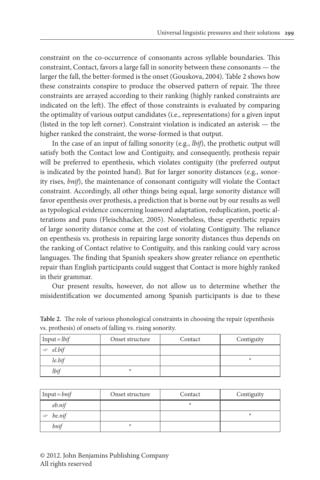constraint on the co-occurrence of consonants across syllable boundaries. This constraint, Contact, favors a large fall in sonority between these consonants — the larger the fall, the better-formed is the onset (Gouskova, 2004). Table 2 shows how these constraints conspire to produce the observed pattern of repair. The three constraints are arrayed according to their ranking (highly ranked constraints are indicated on the left). The effect of those constraints is evaluated by comparing the optimality of various output candidates (i.e., representations) for a given input (listed in the top left corner). Constraint violation is indicated an asterisk — the higher ranked the constraint, the worse-formed is that output.

In the case of an input of falling sonority (e.g., *lbif*), the prothetic output will satisfy both the Contact low and Contiguity, and consequently, prothesis repair will be preferred to epenthesis, which violates contiguity (the preferred output is indicated by the pointed hand). But for larger sonority distances (e.g., sonority rises, *bnif*), the maintenance of consonant contiguity will violate the Contact constraint. Accordingly, all other things being equal, large sonority distance will favor epenthesis over prothesis, a prediction that is borne out by our results as well as typological evidence concerning loanword adaptation, reduplication, poetic alterations and puns (Fleischhacker, 2005). Nonetheless, these epenthetic repairs of large sonority distance come at the cost of violating Contiguity. The reliance on epenthesis vs. prothesis in repairing large sonority distances thus depends on the ranking of Contact relative to Contiguity, and this ranking could vary across languages. The finding that Spanish speakers show greater reliance on epenthetic repair than English participants could suggest that Contact is more highly ranked in their grammar.

Our present results, however, do not allow us to determine whether the misidentification we documented among Spanish participants is due to these

| $\ln{\text{put}} = l\text{bif}$ | Onset structure | Contact | Contiguity |
|---------------------------------|-----------------|---------|------------|
| el.bif<br>$\subsetneq$          |                 |         |            |
| le.bif                          |                 |         |            |
| lbif                            |                 |         |            |

**Table 2.** The role of various phonological constraints in choosing the repair (epenthesis vs. prothesis) of onsets of falling vs. rising sonority.

| $\ln{\text{put}} = \text{bnif}$ | Onset structure | Contact | Contiguity |
|---------------------------------|-----------------|---------|------------|
| eb.nif                          |                 |         |            |
| be.nif<br>$\subset$             |                 |         |            |
| bnif                            |                 |         |            |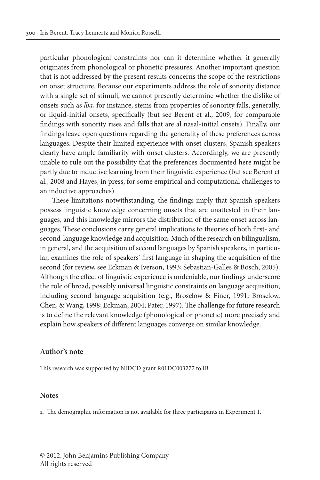particular phonological constraints nor can it determine whether it generally originates from phonological or phonetic pressures. Another important question that is not addressed by the present results concerns the scope of the restrictions on onset structure. Because our experiments address the role of sonority distance with a single set of stimuli, we cannot presently determine whether the dislike of onsets such as *lba*, for instance, stems from properties of sonority falls, generally, or liquid-initial onsets, specifically (but see Berent et al., 2009, for comparable findings with sonority rises and falls that are al nasal-initial onsets). Finally, our findings leave open questions regarding the generality of these preferences across languages. Despite their limited experience with onset clusters, Spanish speakers clearly have ample familiarity with onset clusters. Accordingly, we are presently unable to rule out the possibility that the preferences documented here might be partly due to inductive learning from their linguistic experience (but see Berent et al., 2008 and Hayes, in press, for some empirical and computational challenges to an inductive approaches).

These limitations notwithstanding, the findings imply that Spanish speakers possess linguistic knowledge concerning onsets that are unattested in their languages, and this knowledge mirrors the distribution of the same onset across languages. These conclusions carry general implications to theories of both first- and second-language knowledge and acquisition. Much of the research on bilingualism, in general, and the acquisition of second languages by Spanish speakers, in particular, examines the role of speakers' first language in shaping the acquisition of the second (for review, see Eckman & Iverson, 1993; Sebastian-Galles & Bosch, 2005). Although the effect of linguistic experience is undeniable, our findings underscore the role of broad, possibly universal linguistic constraints on language acquisition, including second language acquisition (e.g., Broselow & Finer, 1991; Broselow, Chen, & Wang, 1998; Eckman, 2004; Pater, 1997). The challenge for future research is to define the relevant knowledge (phonological or phonetic) more precisely and explain how speakers of different languages converge on similar knowledge.

#### **Author's note**

This research was supported by NIDCD grant R01DC003277 to IB.

#### **Notes**

**1.** The demographic information is not available for three participants in Experiment 1.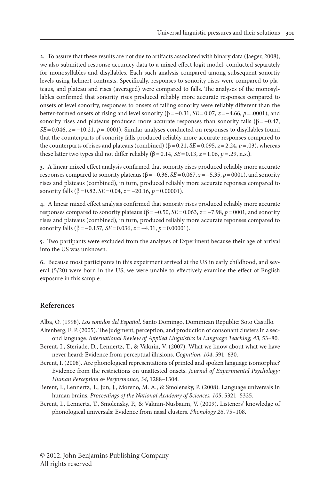**2.** To assure that these results are not due to artifacts associated with binary data (Jaeger, 2008), we also submitted response accuracy data to a mixed effect logit model, conducted separately for monosyllables and disyllables. Each such analysis compared among subsequent sonortiy levels using helmert contrasts. Specifically, responses to sonority rises were compared to plateaus, and plateau and rises (averaged) were compared to falls. The analyses of the monosyllables confirmed that sonority rises produced reliably more accurate responses compared to onsets of level sonority, responses to onsets of falling sonority were reliably different than the better-formed onsets of rising and level sonority (β=−0.31, *SE*=0.07, *z*=−4.66, *p*=.0001), and sonority rises and plateaus produced more accurate responses than sonority falls ( $\beta$ =-0.47, *SE* = 0.046, *z* = −10.21, *p* = .0001). Similar analyses conducted on responses to disyllables found that the counterparts of sonority falls produced reliably more accurate responses compared to the counterparts of rises and plateaus (combined) (β = 0.21, *SE* = 0.095, *z* = 2.24, *p* = .03), whereas these latter two types did not differ reliably (β = 0.14, *SE* = 0.13, *z* = 1.06, *p* = .29, n.s.).

**3.** A linear mixed effect analysis confirmed that sonority rises produced reliably more accurate responses compared to sonority plateaus ( $β = -0.36$ ,  $SE = 0.067$ ,  $z = -5.35$ ,  $p = 0001$ ), and sonority rises and plateaus (combined), in turn, produced reliably more accurate reponses compared to sonority falls ( $\beta$ =0.82, *SE*=0.04, *z*=−20.16, *p*=0.00001).

**4.** A linear mixed effect analysis confirmed that sonority rises produced reliably more accurate responses compared to sonority plateaus ( $β = -0.50$ ,  $SE = 0.063$ ,  $z = -7.98$ ,  $p = 0001$ , and sonority rises and plateaus (combined), in turn, produced reliably more accurate reponses compared to sonority falls (β=−0.157, *SE*=0.036, *z*=−4.31, *p*=0.00001).

**5.** Two partipants were excluded from the analyses of Experiment because their age of arrival into the US was unknown.

**6.** Because most participants in this expeirment arrived at the US in early childhood, and several (5/20) were born in the US, we were unable to effectively examine the effect of English exposure in this sample.

#### **References**

Alba, O. (1998). *Los sonidos del Español*. Santo Domingo, Dominican Republic: Soto Castillo.

Altenberg, E. P. (2005). The judgment, perception, and production of consonant clusters in a second language. *International Review of Applied Linguistics in Language Teaching, 43*, 53–80.

- Berent, I., Steriade, D., Lennertz, T., & Vaknin, V. (2007). What we know about what we have never heard: Evidence from perceptual illusions. *Cognition, 104*, 591–630.
- Berent, I. (2008). Are phonological representations of printed and spoken language isomorphic? Evidence from the restrictions on unattested onsets. *Journal of Experimental Psychology: Human Perception & Performance, 34*, 1288–1304.
- Berent, I., Lennertz, T., Jun, J., Moreno, M. A., & Smolensky, P. (2008). Language universals in human brains. *Proceedings of the National Academy of Sciences, 105*, 5321–5325.
- Berent, I., Lennertz, T., Smolensky, P., & Vaknin-Nusbaum, V. (2009). Listeners' knowledge of phonological universals: Evidence from nasal clusters. *Phonology 26*, 75–108.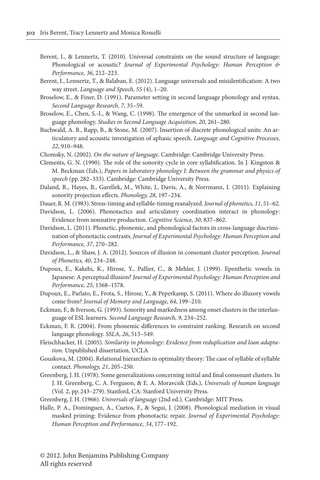- Berent, I., & Lennertz, T. (2010). Universal constraints on the sound structure of language: Phonological or acoustic? *Journal of Experimental Psychology: Human Perception & Performance, 36*, 212–223.
- Berent, I., Lennertz, T., & Balaban, E. (2012). Language universals and misidentification: A two way street. *Language and Speech*, *55* (4), 1–20.
- Broselow, E., & Finer, D. (1991). Parameter setting in second language phonology and syntax. *Second Language Research, 7*, 35–59.
- Broselow, E., Chen, S.-I., & Wang, C. (1998). The emergence of the unmarked in second language phonology. *Studies in Second Language Acquisition, 20*, 261–280.
- Buchwald, A. B., Rapp, B., & Stone, M. (2007). Insertion of discrete phonological units: An articulatory and acoustic investigation of aphasic speech. *Language and Cognitive Processes, 22*, 910–948.
- Chomsky, N. (2002). *On the nature of language*. Cambridge: Cambridge University Press.
- Clements, G. N. (1990). The role of the sonority cycle in core syllabification. In J. Kingston & M. Beckman (Eds.), *Papers in laboratory phonology I: Between the grammar and physics of speech* (pp. 282–333). Cambridge: Cambridge University Press.
- Daland, R., Hayes, B., Garellek, M., White, J., Davis, A., & Norrmann, I. (2011). Explaining sonority projection effects. *Phonology, 28*, 197–234.
- Dauer, R. M. (1983). Stress-timing and syllable-timing reanalyzed. *Journal of phonetics, 11*, 51–62.
- Davidson, L. (2006). Phonotactics and articulatory coordination interact in phonology: Evidence from nonnative production. *Cognitive Science, 30*, 837–862.
- Davidson, L. (2011). Phonetic, phonemic, and phonological factors in cross-language discrimination of phonotactic contrasts. *Journal of Experimental Psychology: Human Perception and Performance, 37*, 270–282.
- Davidson, L., & Shaw, J. A. (2012). Sources of illusion in consonant cluster perception. *Journal of Phonetics, 40*, 234–248.
- Dupoux, E., Kakehi, K., Hirose, Y., Pallier, C., & Mehler, J. (1999). Epenthetic vowels in Japanese: A perceptual illusion? *Journal of Experimental Psychology: Human Perception and Performance, 25*, 1568–1578.
- Dupoux, E., Parlato, E., Frota, S., Hirose, Y., & Peperkamp, S. (2011). Where do illusory vowels come from? *Journal of Memory and Language, 64*, 199–210.
- Eckman, F., & Iverson, G. (1993). Sonority and markedness among onset clusters in the interlanguage of ESL learners. *Second Language Research, 9*, 234–252.
- Eckman, F. R. (2004). From phonemic differences to constraint ranking. Research on second language phonology. *SSLA, 26*, 513–549.
- Fleischhacker, H. (2005). *Similarity in phonology: Evidence from reduplication and loan adaptation.* Unpublished dissertation, UCLA
- Gouskova, M. (2004). Relational hierarchies in optimality theory: The case of syllable of syllable contact. *Phonology, 21*, 205–250.
- Greenberg, J. H. (1978). Some generalizations concerning initial and final consonant clusters. In J. H. Greenberg, C. A. Ferguson, & E. A. Moravcsik (Eds.), *Universals of human language* (Vol. 2, pp. 243–279). Stanford, CA: Stanford University Press.
- Greenberg, J. H. (1966). *Universals of language* (2nd ed.). Cambridge: MIT Press.
- Halle, P. A., Dominguez, A., Cuetos, F., & Segui, J. (2008). Phonological mediation in visual masked priming: Evidence from phonotactic repair. *Journal of Experimental Psychology: Human Perception and Performance, 34*, 177–192.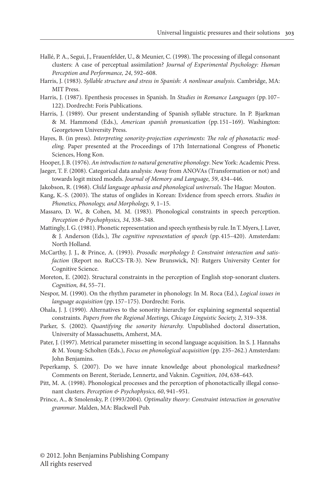- Hallé, P. A., Segui, J., Frauenfelder, U., & Meunier, C. (1998). The processing of illegal consonant clusters: A case of perceptual assimilation? *Journal of Experimental Psychology: Human Perception and Performance, 24*, 592–608.
- Harris, J. (1983). *Syllable structure and stress in Spanish: A nonlinear analysis*. Cambridge, MA: MIT Press.
- Harris, J. (1987). Epenthesis processes in Spanish. In *Studies in Romance Languages* (pp. 107– 122). Dordrecht: Foris Publications.
- Harris, J. (1989). Our present understanding of Spanish syllable structure. In P. Bjarkman & M. Hammond (Eds.), *American spanish pronunication* (pp. 151–169). Washington: Georgetown University Press.
- Hayes, B. (in press). *Interpreting sonority-projection experiments: The role of phonotactic modeling.* Paper presented at the Proceedings of 17th International Congress of Phonetic Sciences, Hong Kon.
- Hooper, J. B. (1976). *An introduction to natural generative phonology*. New York: Academic Press.
- Jaeger, T. F. (2008). Categorical data analysis: Away from ANOVAs (Transformation or not) and towards logit mixed models. *Journal of Memory and Language, 59*, 434–446.
- Jakobson, R. (1968). *Child language aphasia and phonological universals*. The Hague: Mouton.
- Kang, K.-S. (2003). The status of onglides in Korean: Evidence from speech errors. *Studies in Phonetics, Phonology, and Morphology, 9*, 1–15.
- Massaro, D. W., & Cohen, M. M. (1983). Phonological constraints in speech perception. *Perception & Psychophysics, 34*, 338–348.
- Mattingly, I. G. (1981). Phonetic representation and speech synthesis by rule. In T. Myers, J. Laver, & J. Anderson (Eds.), *The cognitive representation of speech* (pp. 415–420). Amsterdam: North Holland.
- McCarthy, J. J., & Prince, A. (1993). *Prosodic morphology I: Constraint interaction and satisfaction* (Report no. RuCCS-TR-3). New Brunswick, NJ: Rutgers University Center for Cognitive Science.
- Moreton, E. (2002). Structural constraints in the perception of English stop-sonorant clusters. *Cognition, 84*, 55–71.
- Nespor, M. (1990). On the rhythm parameter in phonology. In M. Roca (Ed.), *Logical issues in language acquisition* (pp. 157–175). Dordrecht: Foris.
- Ohala, J. J. (1990). Alternatives to the sonority hierarchy for explaining segmental sequential constraints. *Papers from the Regional Meetings, Chicago Linguistic Society, 2*, 319–338.
- Parker, S. (2002). *Quantifying the sonority hierarchy.* Unpublished doctoral dissertation, University of Massachusetts, Amherst, MA.
- Pater, J. (1997). Metrical parameter missetting in second language acquisition. In S. J. Hannahs & M. Young-Scholten (Eds.), *Focus on phonological acquisition* (pp. 235–262.) Amsterdam: John Benjamins.
- Peperkamp, S. (2007). Do we have innate knowledge about phonological markedness? Comments on Berent, Steriade, Lennertz, and Vaknin. *Cognition, 104*, 638–643.
- Pitt, M. A. (1998). Phonological processes and the perception of phonotactically illegal consonant clusters. *Perception & Psychophysics, 60*, 941–951.
- Prince, A., & Smolensky, P. (1993/2004). *Optimality theory: Constraint interaction in generative grammar*. Malden, MA: Blackwell Pub.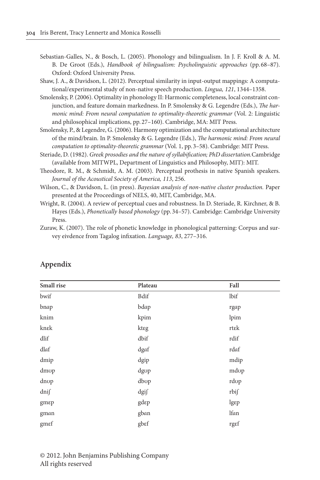Sebastian-Galles, N., & Bosch, L. (2005). Phonology and bilingualism. In J. F. Kroll & A. M. B. De Groot (Eds.), *Handbook of bilingualism: Psycholinguistic approaches* (pp. 68–87). Oxford: Oxford University Press.

Shaw, J. A., & Davidson, L. (2012). Perceptual similarity in input-output mappings: A computational/experimental study of non-native speech production. *Lingua, 121*, 1344–1358.

Smolensky, P. (2006). Optimality in phonology II: Harmonic completeness, local constraint conjunction, and feature domain markedness. In P. Smolensky & G. Legendre (Eds.), *The harmonic mind: From neural computation to optimality-theoretic grammar* (Vol. 2: Linguistic and philosophical implications, pp. 27–160). Cambridge, MA: MIT Press.

Smolensky, P., & Legendre, G. (2006). Harmony optimization and the computational architecture of the mind/brain. In P. Smolensky & G. Legendre (Eds.), *The harmonic mind: From neural computation to optimality-theoretic grammar* (Vol. 1, pp.3–58). Cambridge: MIT Press.

- Steriade, D. (1982). *Greek prosodies and the nature of syllabification; PhD dissertation.*Cambridge (available from MITWPL, Department of Linguistics and Philosophy, MIT): MIT.
- Theodore, R. M., & Schmidt, A. M. (2003). Perceptual prothesis in native Spanish speakers. *Journal of the Acoustical Society of America, 113*, 256.
- Wilson, C., & Davidson, L. (in press). *Bayesian analysis of non-native cluster production.* Paper presented at the Proceedings of NELS, 40, MIT, Cambridge, MA.
- Wright, R. (2004). A review of perceptual cues and robustness. In D. Steriade, R. Kirchner, & B. Hayes (Eds.), *Phonetically based phonology* (pp. 34–57). Cambridge: Cambridge University Press.
- Zuraw, K. (2007). The role of phonetic knowledge in phonological patterning: Corpus and survey eivdence from Tagalog infixation. *Language, 83*, 277–316.

| Small rise | Plateau | Fall |
|------------|---------|------|
| bwif       | Bdif    | lbif |
| bnap       | bdap    | rgap |
| knim       | kpim    | lpim |
| knek       | ktεg    | rtεk |
| dlif       | dbif    | rdif |
| dlaf       | dgaf    | rdaf |
| dmip       | dgip    | mdip |
| dmop       | dgop    | mdop |
| dnop       | dbup    | rdop |
| dnif       | dgif    | rbif |
| gmep       | gdεp    | lgεp |
| gman       | gban    | lfan |
| gmef       | gbef    | rgef |

### **Appendix**